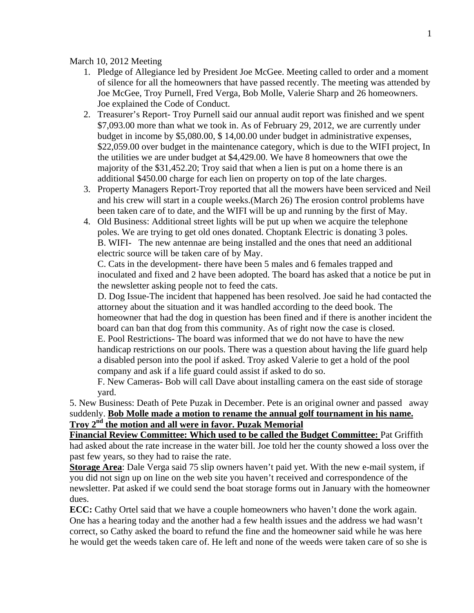March 10, 2012 Meeting

- 1. Pledge of Allegiance led by President Joe McGee. Meeting called to order and a moment of silence for all the homeowners that have passed recently. The meeting was attended by Joe McGee, Troy Purnell, Fred Verga, Bob Molle, Valerie Sharp and 26 homeowners. Joe explained the Code of Conduct.
- 2. Treasurer's Report- Troy Purnell said our annual audit report was finished and we spent \$7,093.00 more than what we took in. As of February 29, 2012, we are currently under budget in income by \$5,080.00, \$ 14,00.00 under budget in administrative expenses, \$22,059.00 over budget in the maintenance category, which is due to the WIFI project, In the utilities we are under budget at \$4,429.00. We have 8 homeowners that owe the majority of the \$31,452.20; Troy said that when a lien is put on a home there is an additional \$450.00 charge for each lien on property on top of the late charges.
- 3. Property Managers Report-Troy reported that all the mowers have been serviced and Neil and his crew will start in a couple weeks.(March 26) The erosion control problems have been taken care of to date, and the WIFI will be up and running by the first of May.
- 4. Old Business: Additional street lights will be put up when we acquire the telephone poles. We are trying to get old ones donated. Choptank Electric is donating 3 poles. B. WIFI- The new antennae are being installed and the ones that need an additional electric source will be taken care of by May.

C. Cats in the development- there have been 5 males and 6 females trapped and inoculated and fixed and 2 have been adopted. The board has asked that a notice be put in the newsletter asking people not to feed the cats.

D. Dog Issue-The incident that happened has been resolved. Joe said he had contacted the attorney about the situation and it was handled according to the deed book. The homeowner that had the dog in question has been fined and if there is another incident the board can ban that dog from this community. As of right now the case is closed. E. Pool Restrictions- The board was informed that we do not have to have the new handicap restrictions on our pools. There was a question about having the life guard help a disabled person into the pool if asked. Troy asked Valerie to get a hold of the pool company and ask if a life guard could assist if asked to do so.

F. New Cameras- Bob will call Dave about installing camera on the east side of storage yard.

5. New Business: Death of Pete Puzak in December. Pete is an original owner and passed away suddenly. **Bob Molle made a motion to rename the annual golf tournament in his name. Troy 2nd the motion and all were in favor. Puzak Memorial** 

**Financial Review Committee: Which used to be called the Budget Committee:** Pat Griffith had asked about the rate increase in the water bill. Joe told her the county showed a loss over the past few years, so they had to raise the rate.

**Storage Area**: Dale Verga said 75 slip owners haven't paid yet. With the new e-mail system, if you did not sign up on line on the web site you haven't received and correspondence of the newsletter. Pat asked if we could send the boat storage forms out in January with the homeowner dues.

**ECC:** Cathy Ortel said that we have a couple homeowners who haven't done the work again. One has a hearing today and the another had a few health issues and the address we had wasn't correct, so Cathy asked the board to refund the fine and the homeowner said while he was here he would get the weeds taken care of. He left and none of the weeds were taken care of so she is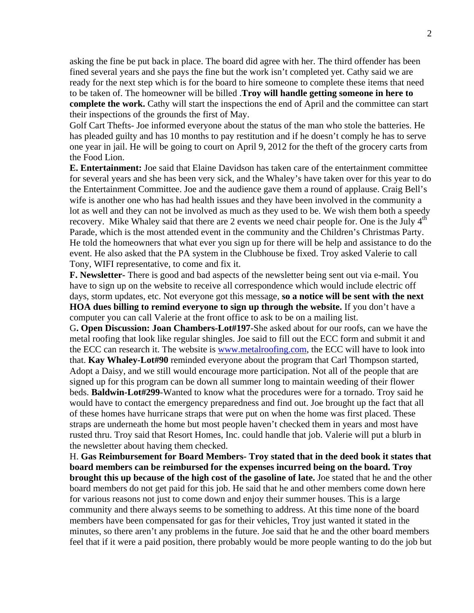asking the fine be put back in place. The board did agree with her. The third offender has been fined several years and she pays the fine but the work isn't completed yet. Cathy said we are ready for the next step which is for the board to hire someone to complete these items that need to be taken of. The homeowner will be billed .**Troy will handle getting someone in here to complete the work.** Cathy will start the inspections the end of April and the committee can start their inspections of the grounds the first of May.

Golf Cart Thefts- Joe informed everyone about the status of the man who stole the batteries. He has pleaded guilty and has 10 months to pay restitution and if he doesn't comply he has to serve one year in jail. He will be going to court on April 9, 2012 for the theft of the grocery carts from the Food Lion.

**E. Entertainment:** Joe said that Elaine Davidson has taken care of the entertainment committee for several years and she has been very sick, and the Whaley's have taken over for this year to do the Entertainment Committee. Joe and the audience gave them a round of applause. Craig Bell's wife is another one who has had health issues and they have been involved in the community a lot as well and they can not be involved as much as they used to be. We wish them both a speedy recovery. Mike Whaley said that there are 2 events we need chair people for. One is the July 4<sup>th</sup> Parade, which is the most attended event in the community and the Children's Christmas Party. He told the homeowners that what ever you sign up for there will be help and assistance to do the event. He also asked that the PA system in the Clubhouse be fixed. Troy asked Valerie to call Tony, WIFI representative, to come and fix it.

**F. Newsletter-** There is good and bad aspects of the newsletter being sent out via e-mail. You have to sign up on the website to receive all correspondence which would include electric off days, storm updates, etc. Not everyone got this message, **so a notice will be sent with the next HOA dues billing to remind everyone to sign up through the website.** If you don't have a computer you can call Valerie at the front office to ask to be on a mailing list.

G**. Open Discussion: Joan Chambers-Lot#197**-She asked about for our roofs, can we have the metal roofing that look like regular shingles. Joe said to fill out the ECC form and submit it and the ECC can research it. The website is **www.metalroofing.com**, the ECC will have to look into that. **Kay Whaley-Lot#90** reminded everyone about the program that Carl Thompson started, Adopt a Daisy, and we still would encourage more participation. Not all of the people that are signed up for this program can be down all summer long to maintain weeding of their flower beds. **Baldwin-Lot#299**-Wanted to know what the procedures were for a tornado. Troy said he would have to contact the emergency preparedness and find out. Joe brought up the fact that all of these homes have hurricane straps that were put on when the home was first placed. These straps are underneath the home but most people haven't checked them in years and most have rusted thru. Troy said that Resort Homes, Inc. could handle that job. Valerie will put a blurb in the newsletter about having them checked.

H. **Gas Reimbursement for Board Members- Troy stated that in the deed book it states that board members can be reimbursed for the expenses incurred being on the board. Troy brought this up because of the high cost of the gasoline of late.** Joe stated that he and the other board members do not get paid for this job. He said that he and other members come down here for various reasons not just to come down and enjoy their summer houses. This is a large community and there always seems to be something to address. At this time none of the board members have been compensated for gas for their vehicles, Troy just wanted it stated in the minutes, so there aren't any problems in the future. Joe said that he and the other board members feel that if it were a paid position, there probably would be more people wanting to do the job but